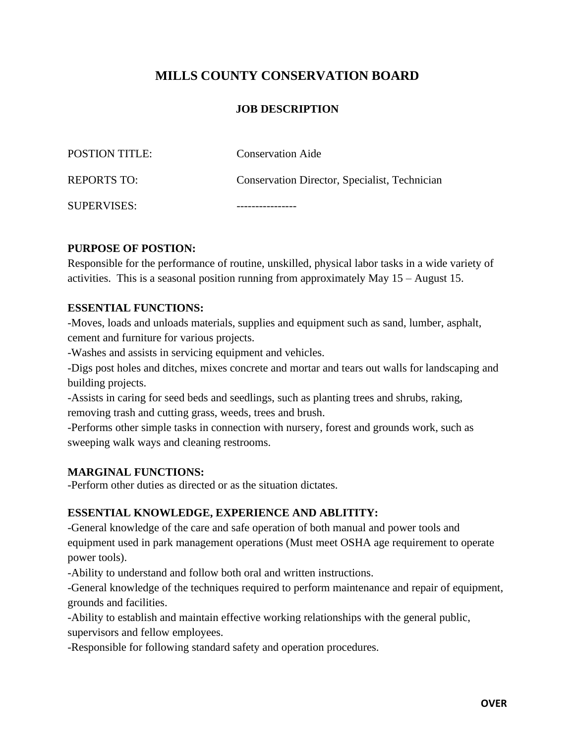# **MILLS COUNTY CONSERVATION BOARD**

### **JOB DESCRIPTION**

| SUPERVISES:           |                                               |
|-----------------------|-----------------------------------------------|
| <b>REPORTS TO:</b>    | Conservation Director, Specialist, Technician |
| <b>POSTION TITLE:</b> | <b>Conservation Aide</b>                      |

#### **PURPOSE OF POSTION:**

Responsible for the performance of routine, unskilled, physical labor tasks in a wide variety of activities. This is a seasonal position running from approximately May 15 – August 15.

### **ESSENTIAL FUNCTIONS:**

-Moves, loads and unloads materials, supplies and equipment such as sand, lumber, asphalt, cement and furniture for various projects.

-Washes and assists in servicing equipment and vehicles.

-Digs post holes and ditches, mixes concrete and mortar and tears out walls for landscaping and building projects.

-Assists in caring for seed beds and seedlings, such as planting trees and shrubs, raking, removing trash and cutting grass, weeds, trees and brush.

-Performs other simple tasks in connection with nursery, forest and grounds work, such as sweeping walk ways and cleaning restrooms.

#### **MARGINAL FUNCTIONS:**

-Perform other duties as directed or as the situation dictates.

#### **ESSENTIAL KNOWLEDGE, EXPERIENCE AND ABLITITY:**

-General knowledge of the care and safe operation of both manual and power tools and equipment used in park management operations (Must meet OSHA age requirement to operate power tools).

-Ability to understand and follow both oral and written instructions.

-General knowledge of the techniques required to perform maintenance and repair of equipment, grounds and facilities.

-Ability to establish and maintain effective working relationships with the general public, supervisors and fellow employees.

-Responsible for following standard safety and operation procedures.